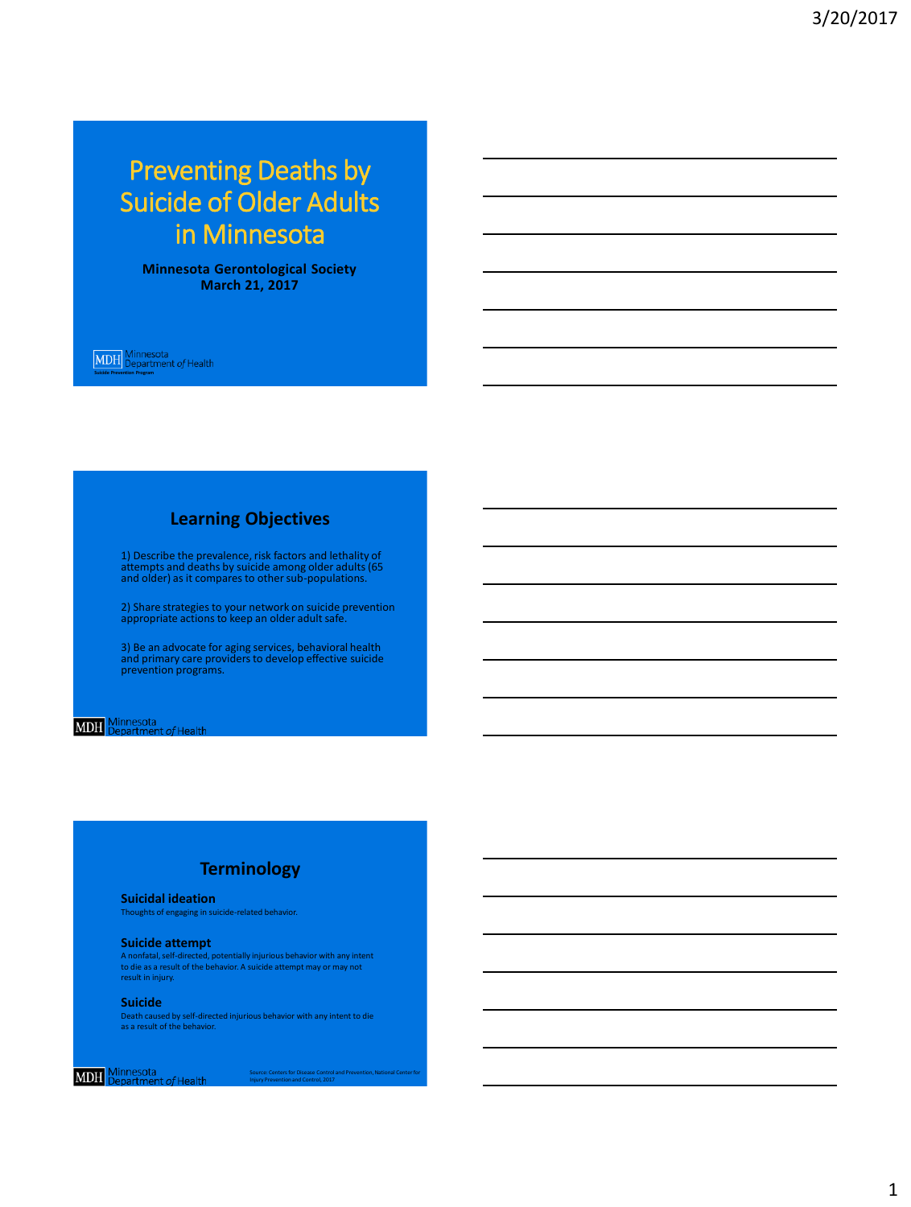# Preventing Deaths by Suicide of Older Adults in Minnesota

**Minnesota Gerontological Society March 21, 2017**

**Suicide Prevention Prevention Program**<br> **Support Prevention Prevention Prevention Prevention Prevention Prevention Prevention Prevention Prevention Pre** 

# **Learning Objectives**

1) Describe the prevalence, risk factors and lethality of attempts and deaths by suicide among older adults (65 and older) as it compares to other sub-populations.

2) Share strategies to your network on suicide prevention appropriate actions to keep an older adult safe.

3) Be an advocate for aging services, behavioral health and primary care providers to develop effective suicide prevention programs.

# **MDH** Minnesota<br>MDH Department of Health

### **Terminology**

**Suicidal ideation**

Thoughts of engaging in suicide-related behavior.

#### **Suicide attempt**

A nonfatal, self-directed, potentially injurious behavior with any intent to die as a result of the behavior. A suicide attempt may or may not result in injury.

#### **Suicide**

Death caused by self-directed injurious behavior with any intent to die as a result of the behavior.

## **MDH** Minnesota<br>MDH Department of Health

Source: Centers for Disease Control and Prevention, National Center for Injury Prevention and Control, 2017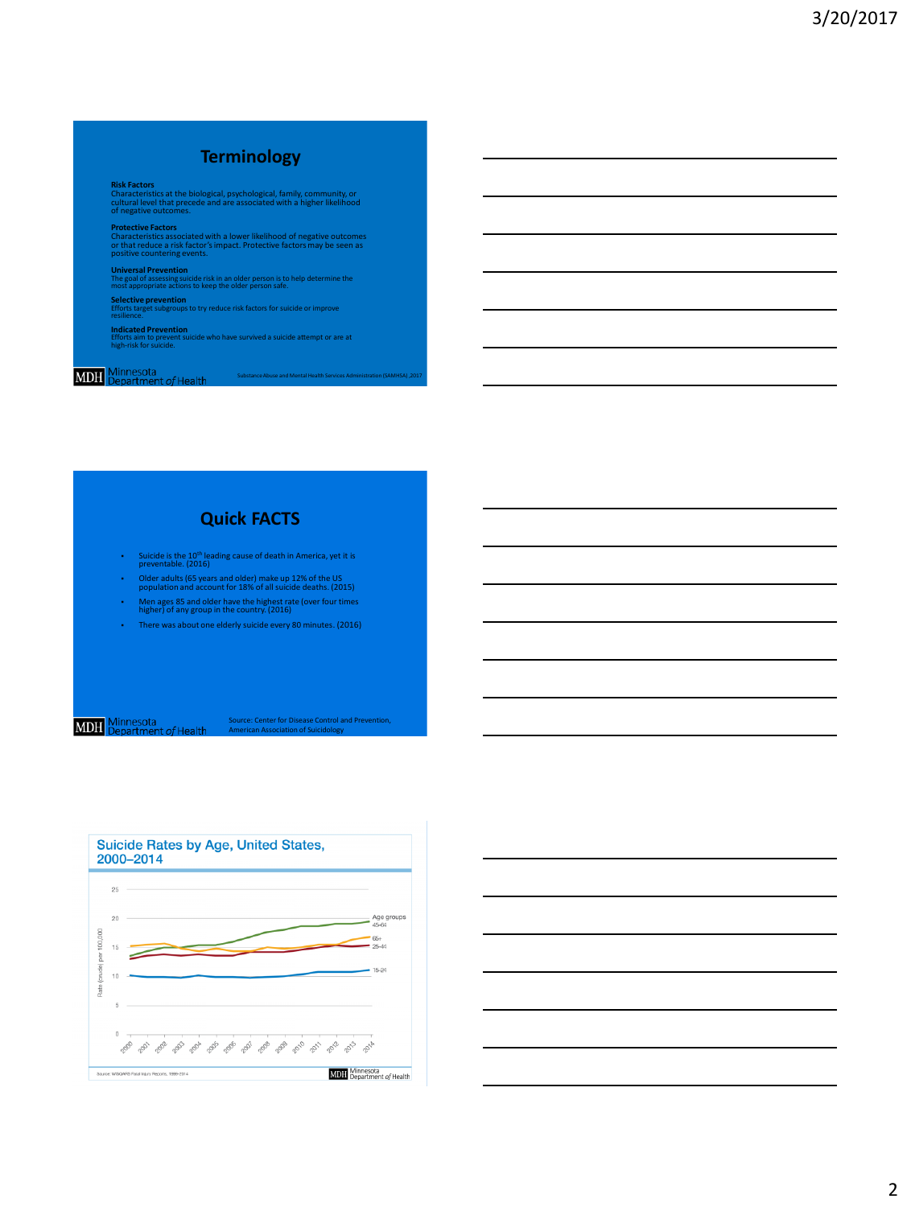# **Terminology**

**Risk Factors**<br>Characteristics at the biological, psychological, family, community, or<br>cultural level that precede and are associated with a higher likelihood<br>of negative outcomes.

**Protective Factors** Characteristics associated with a lower likelihood of negative outcomes or that reduce a risk factor's impact. Protective factors may be seen as positive countering events.

**Universal Prevention**<br>The goal of assessing suicide risk in an older person is to help determine the<br>most appropriate actions to keep the older person safe.

**Selective prevention** Efforts target subgroups to try reduce risk factors for suicide or improve resilience.

**Indicated Prevention**<br>Efforts aim to prevent suicide who have survived a suicide attempt or are at<br>high-risk for suicide.

# **Quick FACTS**

- Suicide is the 10th leading cause of death in America, yet it is preventable. (2016)
- Older adults (65 years and older) make up 12% of the US population and account for 18% of all suicide deaths. (2015)
- Men ages 85 and older have the highest rate (over four times higher) of any group in the country. (2016)
- There was about one elderly suicide every 80 minutes. (2016)

**MDH** Minnesota<br>**MDH** Department of Health

Source: Center for Disease Control and Prevention, American Association of Suicidology



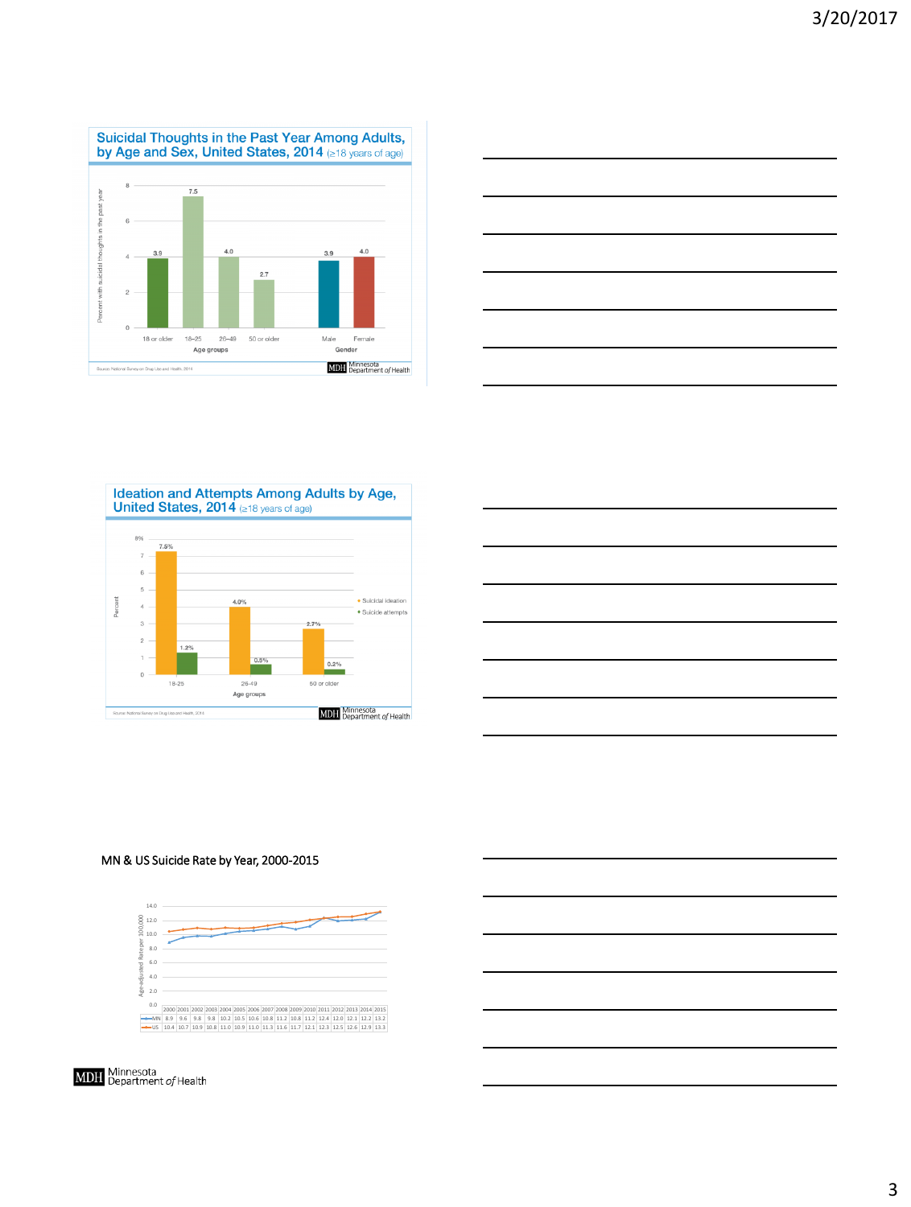





| <u> 1989 - Johann Barn, fransk politik (f. 1989)</u> |  | the control of the control of the |  |
|------------------------------------------------------|--|-----------------------------------|--|
|                                                      |  |                                   |  |
|                                                      |  | ___                               |  |
|                                                      |  |                                   |  |
| $\overline{\phantom{a}}$                             |  |                                   |  |
|                                                      |  |                                   |  |
|                                                      |  |                                   |  |
|                                                      |  |                                   |  |
|                                                      |  |                                   |  |
|                                                      |  |                                   |  |
|                                                      |  |                                   |  |
|                                                      |  |                                   |  |
|                                                      |  |                                   |  |

#### MN & US Suicide Rate by Year, 2000-2015

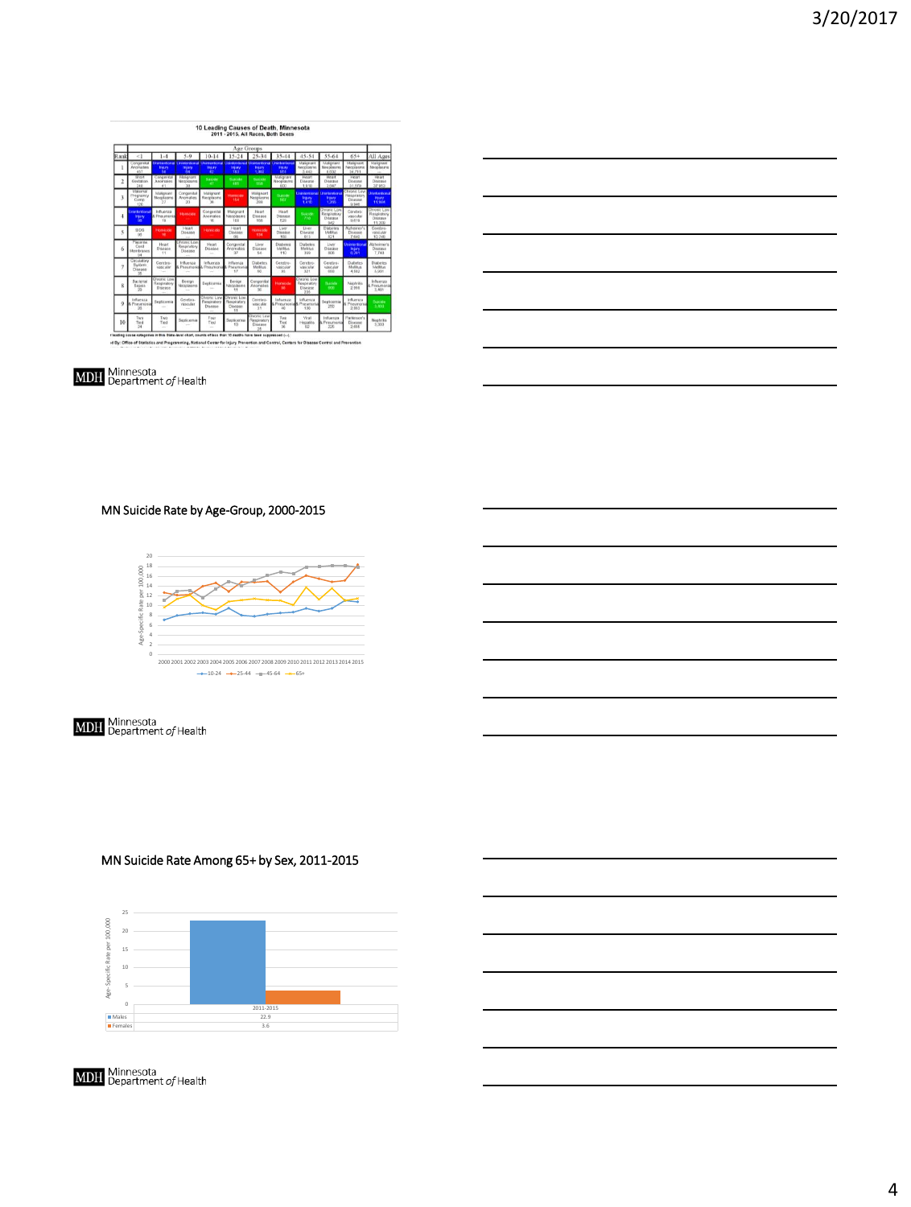### 10 Leading Causes of Death, Minnesota<br>2011 - 2015, All Races, Both Sexes

|                          |                                          |                                              |                                                                                                               |                                            |                                                   | Age Groups                                        |                                    |                                                      |                                                     |                                                           |                                                 |
|--------------------------|------------------------------------------|----------------------------------------------|---------------------------------------------------------------------------------------------------------------|--------------------------------------------|---------------------------------------------------|---------------------------------------------------|------------------------------------|------------------------------------------------------|-----------------------------------------------------|-----------------------------------------------------------|-------------------------------------------------|
| Rank                     | <1                                       | $1 - 4$                                      | 5.0                                                                                                           | $10-14$                                    | $15 - 24$                                         | 25-34                                             | 35-44                              | 45.54                                                | 55-64                                               | $65+$                                                     | All Ages                                        |
| I                        | Congerstel<br><b>Basicona kan</b><br>457 | <b>Sedura</b>                                | Determined University and Universities (University and University and University and<br><b>Industry</b><br>×х | <b>Injury</b><br>ю                         | <b>Insury</b><br>m                                | Injury<br>1.000                                   | <b><i><u>PILITY</u></i></b><br>564 | Malkonant<br>Necesianna<br>3.443                     | Makgnard<br>Meandannis<br>0.632                     | Malignant<br>Neoplasms<br>34,711                          | Malignard<br>Necessari                          |
| $\overline{c}$           | Short<br>Gestation<br>348                | Congental<br>Anomalies<br>41                 | Malghard<br>Necckasms                                                                                         | Success<br>×                               | Suicide<br><b>ATEN</b>                            | Suckle<br><b>NAME</b>                             | Malignare<br>Necelasms<br>(sca)    | Heat<br>Disease<br>1.918                             | Hourt<br>Disease<br>3847                            | Hoart<br>Disease<br>31.579                                | Hoart<br>Disease<br>37.953                      |
| 3                        | Maternat<br>Pregnancy<br>Comp<br>120     | Makenant<br>Mecclasms<br>57                  | Congenital<br>Anomalass<br>20                                                                                 | Malignant<br>Necelasms<br>$-90$            | Humanic scho<br>154                               | Malagnant<br>Necesiasms<br>200                    | Suicide<br><b>SEP</b>              | Unintentional Unintentional<br><b>MELEV</b><br>1.410 | <b>Insure</b><br><b>TOWN</b>                        | <b>Purcenter Lione</b><br>Respiratory<br>Disease<br>0.945 | Unimantional<br><b>Injury</b><br><b>11 ISSA</b> |
| 4                        | Lineston Bona<br><b>INBITY</b><br>m      | Influenzia<br>Preumont<br><b>VB</b>          | <b>Silomacade</b>                                                                                             | Congenital<br>Aryvenskee<br>16             | Malignant<br>Mendaryn<br><b>TOP</b>               | Heart<br>Пиляня<br>160                            | Heart<br>Diseasee<br>528           | <b>Suicide</b><br>710                                | <b>Chronic Low</b><br>Respiratory<br>Disease<br>942 | Corebro.<br>vascular<br>9,619                             | Checric Low<br>Reseiratory<br>Disease<br>11.209 |
| $\overline{\phantom{a}}$ | <b>SIDS</b><br><b>Call</b>               | Homeste<br>٠                                 | <b>Meart</b><br>Disease                                                                                       | Homester                                   | <b>SERGET</b><br>Disease<br>66                    | Homiste<br>154                                    | Liver<br>Disease<br>titat          | Liver<br>Disease<br>613                              | Disbetes<br>Melitus<br>821                          | Alcheanne's<br>Disease<br>7,640                           | Cerebro.<br>vascular<br>10.748                  |
| 6                        | Placerna<br>Cord<br>Membranes<br>04      | Heart<br>Otlease<br>11                       | Chronic Low<br>Responsive<br>Disease                                                                          | Heart<br>Disease<br>$\sim$                 | Consental<br>Anomakes<br>37                       | Liver<br>Disease<br>64                            | Diabetes<br><b>Mathhus</b><br>110  | Diabetes<br>Medition<br>359                          | Liver<br>Disease<br><b>BOA</b>                      | <b>Jointerdona</b><br><b>Inkirk</b><br>6.291              | Atzheimen's<br>Disease<br>7.740                 |
| $\overline{1}$           | Cerulatory<br>System<br>Disease<br>$2$   | Ceretro-<br>vascular<br>m                    | Influenza<br>Peaumore<br>÷                                                                                    | Infuenza<br>Poeumon<br>×                   | Influenza<br>Potumor<br>17                        | <b>Civaturnes</b><br>Melitius<br>50               | Cerebro-<br>vascular<br>93         | Ceretes<br>VOISSING<br>321                           | Cerebro.<br><b>MARCIARE</b><br>468                  | Diabetes<br>Mellitus<br>4,582                             | <b>Diabetes</b><br>Melitia<br>5.935             |
| $\overline{\mathbf{8}}$  | <b>Barterial</b><br>Secure<br>29         | <b>Liverett Low</b><br>Reaginitin<br>Disease | Bengh<br>Neoclasms<br>w                                                                                       | Renticense<br>$\sim$                       | Berlagn<br>Mesolasons<br>51                       | Congenital<br>Anomalies<br>NO <sub>1</sub>        | <b>Home View</b><br>m              | <b>Chronic Low</b><br>Respiratory<br>Disnase<br>355  | <b><i><u><u>Rosen</u></u></i></b><br>erin           | Negeurias<br>2.008                                        | Influenza<br>Ponumonia<br>3.481                 |
| $\circ$                  | Influenza<br>Preumon<br>20               | Septicismus<br>-                             | Cetebro.<br>vascular<br>m                                                                                     | <b>THORN LOW</b><br>Respiratory<br>Disease | <b>Tecnic Low</b><br>Respiratory<br>Disease<br>11 | Cerebro.<br>vascular<br>31                        | Influenza<br>Preumoni<br>40        | Influenza<br>Preumon<br>130                          | Segti-Lernia<br>250                                 | Infuenza<br><b>E</b> Propiamon<br>2.003                   | Spielda<br>3.430                                |
| 10                       | Two<br>Tied<br>34                        | Two<br>Tied<br>-                             | <b>Septcoma</b><br>∸                                                                                          | Four<br>Tied<br>÷                          | Restinervia<br>60                                 | <b>Profit Low</b><br>Resolution<br><b>Гланине</b> | Twis<br>Tied<br><b>M</b>           | Meal<br>Hepatitis<br>02                              | Influenza<br>Prieureant<br>226                      | Parkinson's<br>Disease<br>2,666                           | NestFy(Kid)<br>3.333                            |

rikating skuse categories in this State-level chart, counts of less than 10 deaths have been suppressed (--).<br>Id By: Office of Statistics and Programming, National Center for Injury Prevention and Control, Centers for Dise



**MDH** Minnesota<br>**MDH** Department of Health

### MN Suicide Rate by Age-Group, 2000-2015



|  | <b>MDH</b> Minnesota<br><b>MDH</b> Department of Health |
|--|---------------------------------------------------------|
|--|---------------------------------------------------------|

### MN Suicide Rate Among 65+ by Sex, 2011-2015

|                               | 25      |           |  |  |  |  |  |
|-------------------------------|---------|-----------|--|--|--|--|--|
| Age-Specific Rate per 100,000 | 20      |           |  |  |  |  |  |
|                               | 15      |           |  |  |  |  |  |
|                               | 10      |           |  |  |  |  |  |
|                               | 5       |           |  |  |  |  |  |
|                               | $\circ$ | 2011-2015 |  |  |  |  |  |
| <b>III</b> Males              |         | 22.9      |  |  |  |  |  |
| <b>II</b> Females             |         | 3.6       |  |  |  |  |  |

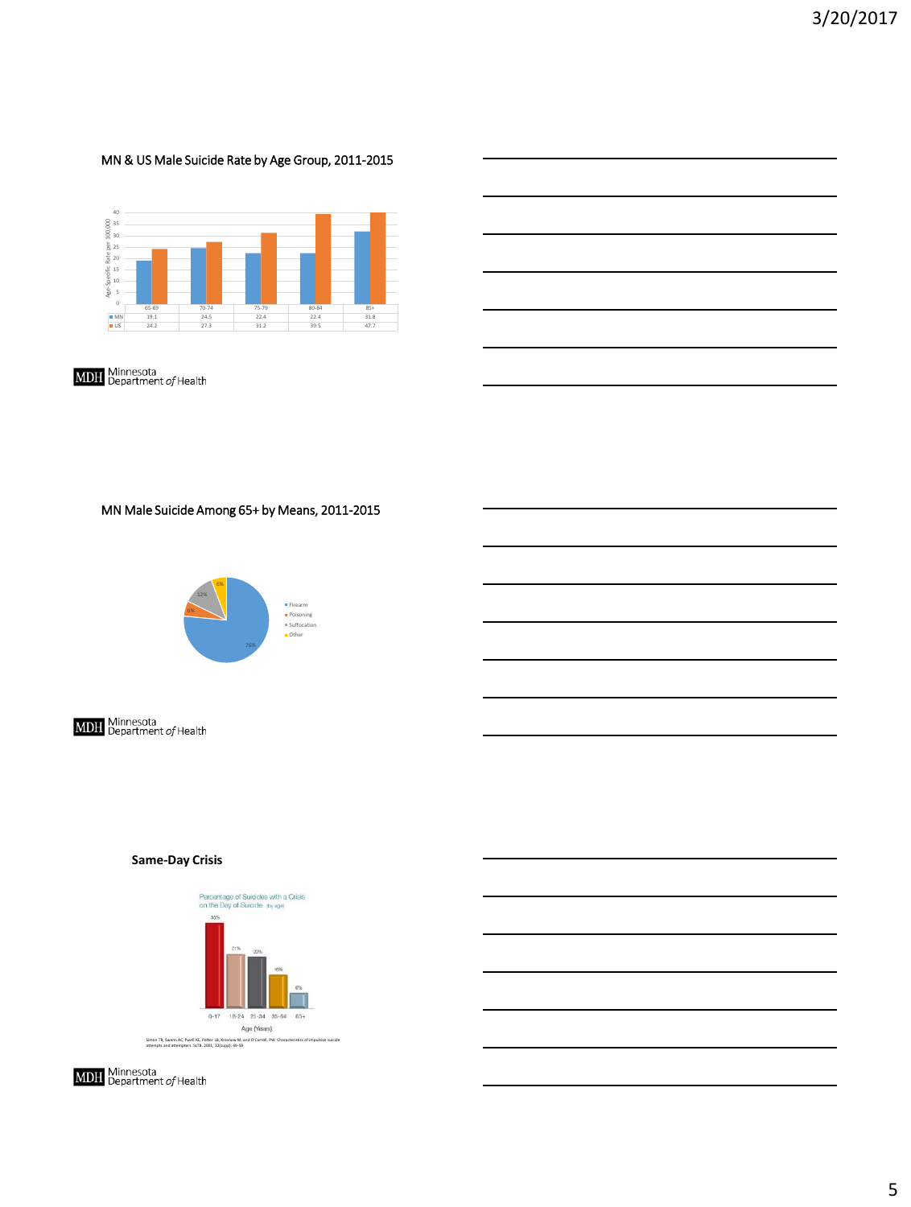### MN & US Male Suicide Rate by Age Group, 2011-2015



**MDH** Minnesota<br>**MDH** Department of Health

MN Male Suicide Among 65+ by Means, 2011-2015



**MDH** Minnesota<br>**MDH** Department of Health

#### **Same-Day Crisis**

Percentage of Suicides with a Crisis<br>on the Day of Suicide thy age)



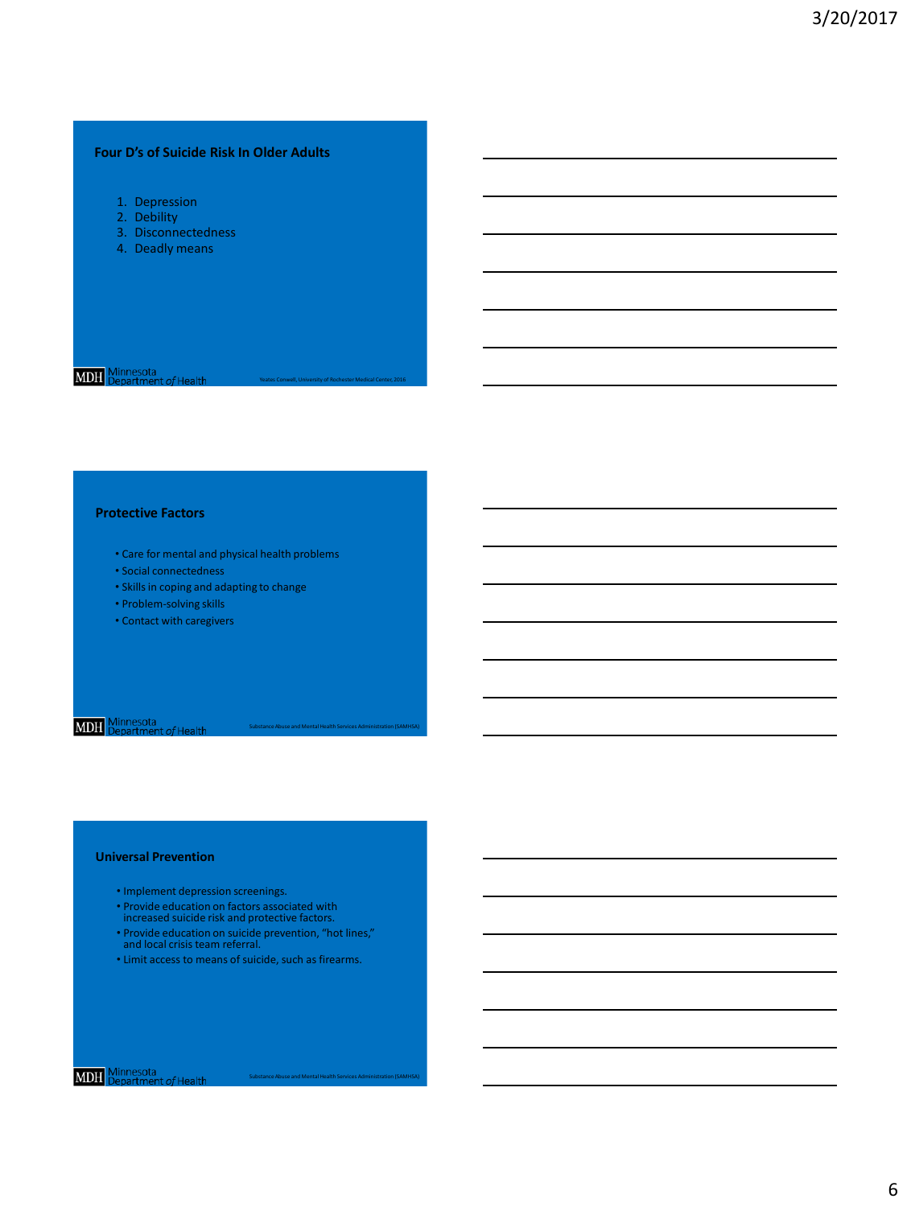### **Four D's of Suicide Risk In Older Adults**

- 1. Depression
- 2. Debility
- 3. Disconnectedness
- 4. Deadly means

## **MDH** Minnesota

#### **Protective Factors**

• Care for mental and physical health problems

Yeates Conwell, University of Rochester Medical Center, 2016

Substance Abuse and Mental Health Services Administration (SAMHSA)

Substance Abuse and Mental Health Services Administration (SAMHSA)

- Social connectedness
- Skills in coping and adapting to change
- Problem-solving skills
- Contact with caregivers

## **MDH** Minnesota<br>**MDH** Department of Health

#### **Universal Prevention**

- Implement depression screenings.
- Provide education on factors associated with increased suicide risk and protective factors.
- Provide education on suicide prevention, "hot lines," and local crisis team referral.
- Limit access to means of suicide, such as firearms.

## **MDH** Minnesota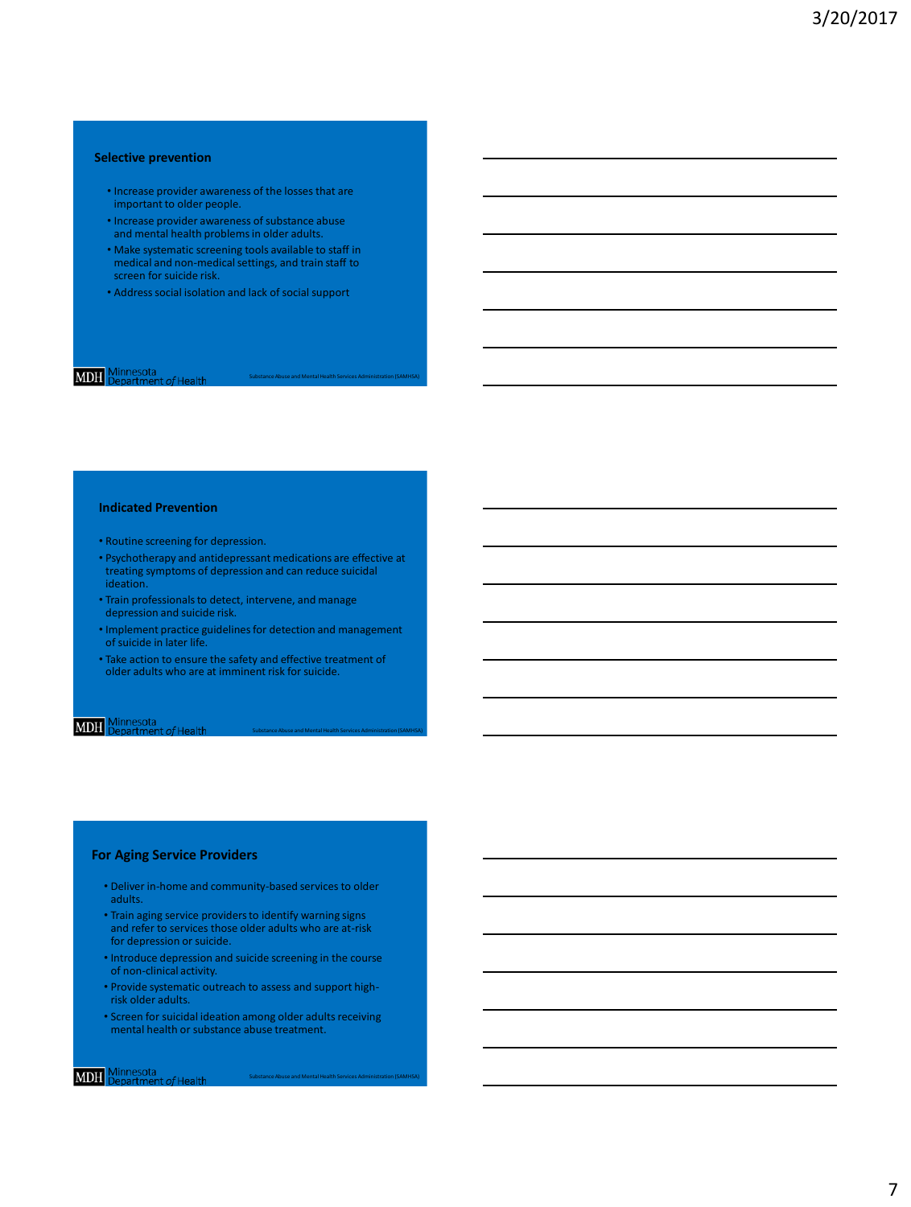#### **Selective prevention**

- Increase provider awareness of the losses that are important to older people.
- Increase provider awareness of substance abuse and mental health problems in older adults.
- Make systematic screening tools available to staff in medical and non-medical settings, and train staff to screen for suicide risk.
- Address social isolation and lack of social support

# **MDH** Minnesota

#### **Indicated Prevention**

- Routine screening for depression.
- Psychotherapy and antidepressant medications are effective at treating symptoms of depression and can reduce suicidal ideation.
- Train professionals to detect, intervene, and manage depression and suicide risk.
- Implement practice guidelines for detection and management of suicide in later life.

Substance Abuse and Mental Health Services Administration (SAMHSA)

Substance Abuse and Mental Health Services Administration (SAMHSA)

• Take action to ensure the safety and effective treatment of older adults who are at imminent risk for suicide.

### **MDH** Minnesota

#### **For Aging Service Providers**

- Deliver in-home and community-based services to older adults.
- Train aging service providers to identify warning signs and refer to services those older adults who are at-risk for depression or suicide.
- Introduce depression and suicide screening in the course of non-clinical activity.
- Provide systematic outreach to assess and support highrisk older adults.
- Screen for suicidal ideation among older adults receiving mental health or substance abuse treatment.

### **MDH** Minnesota

7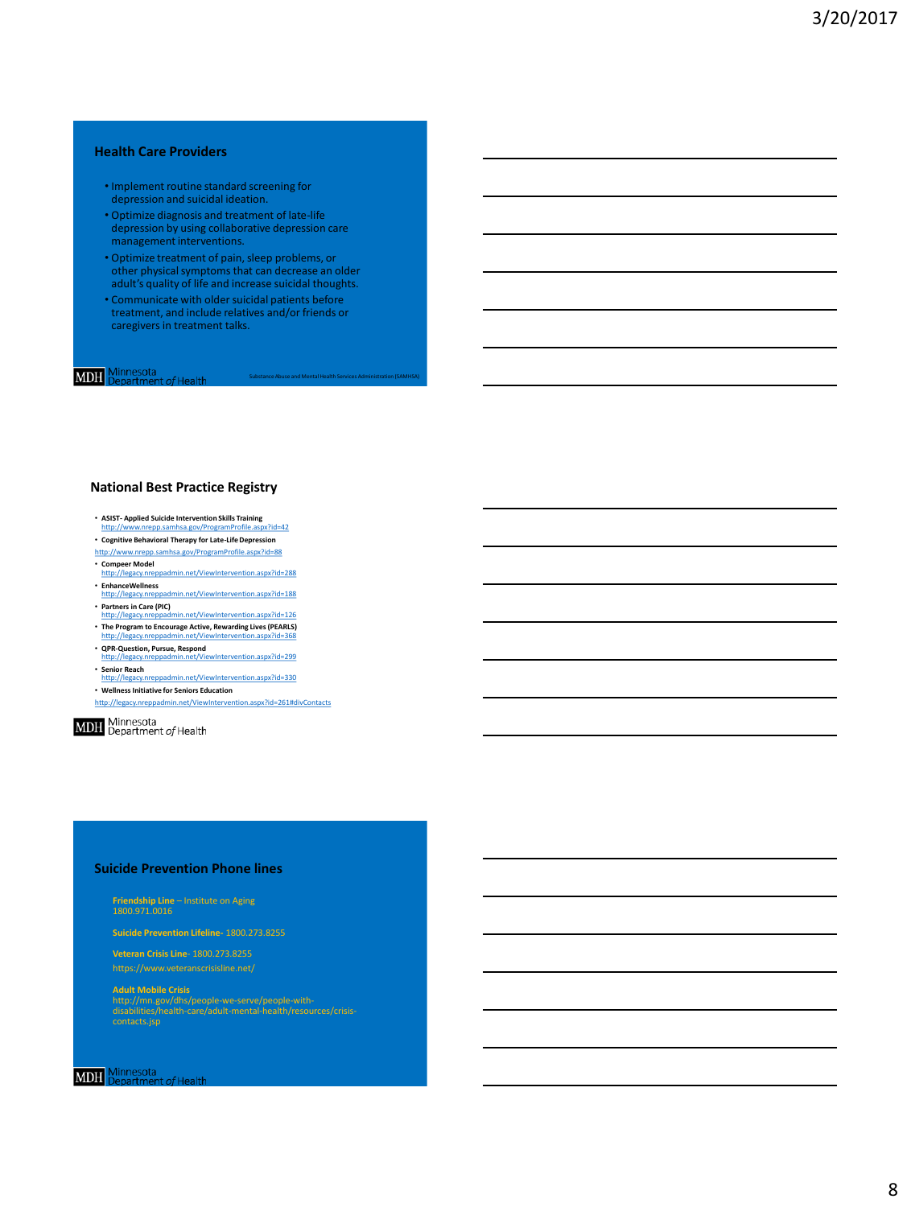#### **Health Care Providers**

- Implement routine standard screening for depression and suicidal ideation.
- Optimize diagnosis and treatment of late-life depression by using collaborative depression care management interventions.
- Optimize treatment of pain, sleep problems, or other physical symptoms that can decrease an older adult's quality of life and increase suicidal thoughts.
- Communicate with older suicidal patients before treatment, and include relatives and/or friends or caregivers in treatment talks.

### **MDH** Minnesota

### **National Best Practice Registry**

- **ASIST- Applied Suicide Intervention Skills Training** <http://www.nrepp.samhsa.gov/ProgramProfile.aspx?id=42>
- **Cognitive Behavioral Therapy for Late-Life Depression**
- <http://www.nrepp.samhsa.gov/ProgramProfile.aspx?id=88>
- **Compeer Model** <http://legacy.nreppadmin.net/ViewIntervention.aspx?id=288>
- **EnhanceWellness** <http://legacy.nreppadmin.net/ViewIntervention.aspx?id=188>
- **Partners in Care (PIC)** <http://legacy.nreppadmin.net/ViewIntervention.aspx?id=126> • **The Program to Encourage Active, Rewarding Lives (PEARLS)** <http://legacy.nreppadmin.net/ViewIntervention.aspx?id=368>
- **QPR-Question, Pursue, Respond**
- <http://legacy.nreppadmin.net/ViewIntervention.aspx?id=299>
- **Senior Reach**
- <http://legacy.nreppadmin.net/ViewIntervention.aspx?id=330> • **Wellness Initiative for Seniors Education**
- <http://legacy.nreppadmin.net/ViewIntervention.aspx?id=261#divContacts>

**MDH** Minnesota<br>**MDH** Department of Health

#### **Suicide Prevention Phone lines**

**Friendship Line** – Institute on Aging

**Suicide Prevention Lifeline-** 1800.273.8255

**Veteran Crisis Line**- 1800.273.8255

**Adult Mobile Crisis** http://mn.gov/dhs/people-we-serve/people-with-disabilities/health-care/adult-mental-health/resources/crisis-

**MDH** Minnesota<br>**MDH** Department of Her  $1$